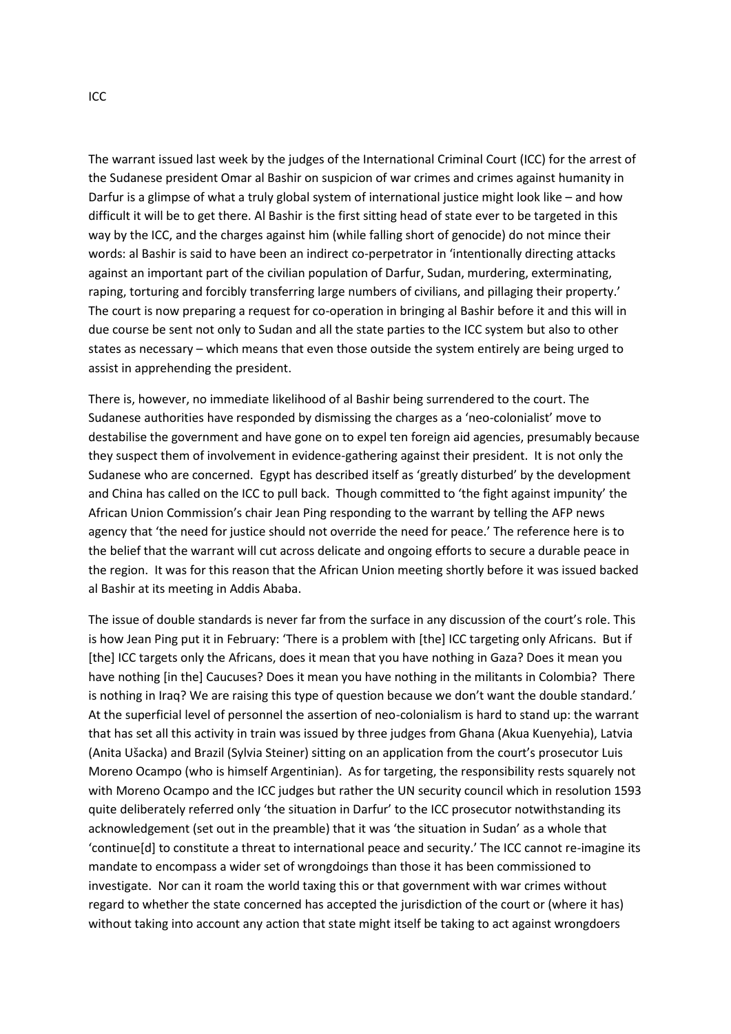The warrant issued last week by the judges of the International Criminal Court (ICC) for the arrest of the Sudanese president Omar al Bashir on suspicion of war crimes and crimes against humanity in Darfur is a glimpse of what a truly global system of international justice might look like – and how difficult it will be to get there. Al Bashir is the first sitting head of state ever to be targeted in this way by the ICC, and the charges against him (while falling short of genocide) do not mince their words: al Bashir is said to have been an indirect co-perpetrator in 'intentionally directing attacks against an important part of the civilian population of Darfur, Sudan, murdering, exterminating, raping, torturing and forcibly transferring large numbers of civilians, and pillaging their property.' The court is now preparing a request for co-operation in bringing al Bashir before it and this will in due course be sent not only to Sudan and all the state parties to the ICC system but also to other states as necessary – which means that even those outside the system entirely are being urged to assist in apprehending the president.

There is, however, no immediate likelihood of al Bashir being surrendered to the court. The Sudanese authorities have responded by dismissing the charges as a 'neo-colonialist' move to destabilise the government and have gone on to expel ten foreign aid agencies, presumably because they suspect them of involvement in evidence-gathering against their president. It is not only the Sudanese who are concerned. Egypt has described itself as 'greatly disturbed' by the development and China has called on the ICC to pull back. Though committed to 'the fight against impunity' the African Union Commission's chair Jean Ping responding to the warrant by telling the AFP news agency that 'the need for justice should not override the need for peace.' The reference here is to the belief that the warrant will cut across delicate and ongoing efforts to secure a durable peace in the region. It was for this reason that the African Union meeting shortly before it was issued backed al Bashir at its meeting in Addis Ababa.

The issue of double standards is never far from the surface in any discussion of the court's role. This is how Jean Ping put it in February: 'There is a problem with [the] ICC targeting only Africans. But if [the] ICC targets only the Africans, does it mean that you have nothing in Gaza? Does it mean you have nothing [in the] Caucuses? Does it mean you have nothing in the militants in Colombia? There is nothing in Iraq? We are raising this type of question because we don't want the double standard.' At the superficial level of personnel the assertion of neo-colonialism is hard to stand up: the warrant that has set all this activity in train was issued by three judges from Ghana (Akua Kuenyehia), Latvia (Anita Ušacka) and Brazil (Sylvia Steiner) sitting on an application from the court's prosecutor Luis Moreno Ocampo (who is himself Argentinian). As for targeting, the responsibility rests squarely not with Moreno Ocampo and the ICC judges but rather the UN security council which in resolution 1593 quite deliberately referred only 'the situation in Darfur' to the ICC prosecutor notwithstanding its acknowledgement (set out in the preamble) that it was 'the situation in Sudan' as a whole that 'continue[d] to constitute a threat to international peace and security.' The ICC cannot re-imagine its mandate to encompass a wider set of wrongdoings than those it has been commissioned to investigate. Nor can it roam the world taxing this or that government with war crimes without regard to whether the state concerned has accepted the jurisdiction of the court or (where it has) without taking into account any action that state might itself be taking to act against wrongdoers